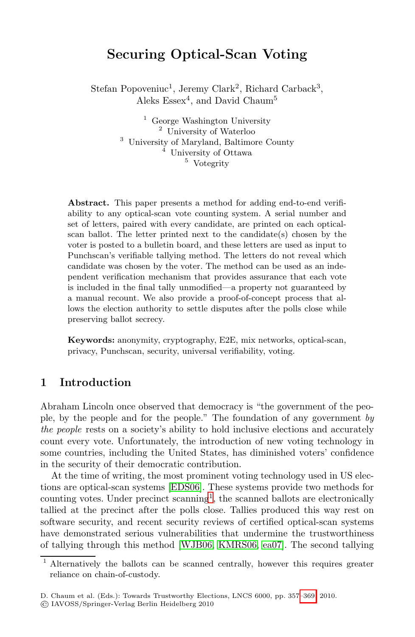# **Securing Optical-Scan Voting**

Stefan Popoveniuc<sup>1</sup>, Jeremy Clark<sup>2</sup>, Richard Carback<sup>3</sup>, Aleks Essex<sup>4</sup>, and David Chaum<sup>5</sup>

> <sup>1</sup> George Washington University University of Waterloo University of Maryland, Baltimore County University of Ottawa Votegrity

**Abstract.** This paper presents a method for adding end-to-end verifiability to any optical-scan vote counting system. A serial number and set of letters, paired with every candidate, are printed on each opticalscan ballot. The letter printed next to the candidate(s) chosen by the voter is posted to a bulletin board, and these letters are used as input to Punchscan's verifiable tallying method. The letters do not reveal which candidate was chosen by the voter. The method can be used as an independent verification mechanism that provides assurance that each vote is included in the final tally unmodified—a property not guaranteed by a manual recount. We also provide a proof-of-concept process that allows the election authority to settle disputes after the polls close while preserving ballot secrecy.

**Keywords:** anonymity, cryptography, E2E, mix networks, optical-scan, privacy, Punchscan, security, universal verifiability, voting.

## **1 Introduction**

Abraham L[incoln](#page-12-0) [o](#page-12-0)n[ce](#page-0-0) observed that democracy is "the government of the people, by the people and for the people." The foundation of any government *by the people* rests on a society's ability to hold inclusive elections and accurately count every vote. Unfortunately, the introduction of new voting technology in some countrie[s, includ](#page-12-1)i[ng the Un](#page-12-2)[ited S](#page-12-3)tates, has diminished voters' confidence in the security of their democratic contribution.

<span id="page-0-0"></span>At the time of writing, the most prominent voting technology used in US elections are optical-scan systems [EDS06]. These systems provide two methods for counting votes. Under precinct scanning<sup>1</sup>, the scanned ballots are electronically tallied at the precinct after the polls clos[e. Ta](#page-12-4)llies produced this way rest on software security, and recent security reviews of certified optical-scan systems have demonstrated serious vulnerabilities that undermine the trustworthiness of tallying through this method [WJB06, KMRS06, ea07]. The second tallying

<sup>1</sup> Alternatively the ballots can be scanned centrally, however this requires greater reliance on chain-of-custody.

D. Chaum et al. (Eds.): Towards Trustworthy Elections, LNCS 6000, pp. 357–369, 2010.

IAVOSS/Springer-Verlag Berlin Heidelberg 2010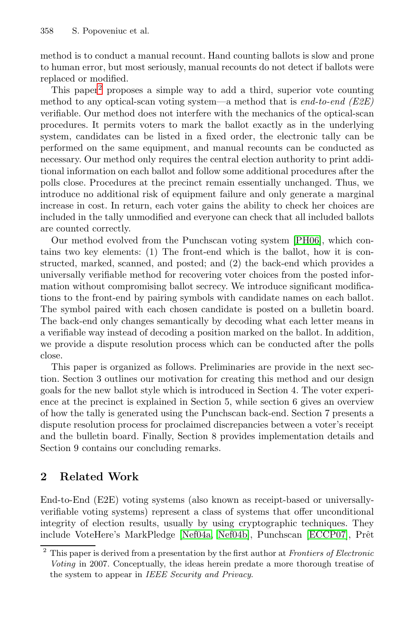method is to conduct a manual recount. Hand counting ballots is slow and prone to human error, but most seriously, manual recounts do not detect if ballots were replaced or modified.

This paper<sup>2</sup> proposes a simple way to add a third, superior vote counting method to any optical-scan voting system—a method that is *end-to-end (E2E)* verifiable. Our method does not interfere with the mechanics of the optical-scan procedures. It permits voters to mark the ballot exactly as in the underlying system, candidates can be listed in a fixed order, the electronic tally can be performed on the same equipment, and [manua](#page-12-5)l recounts can be conducted as necessary. Our method only requires the central election authority to print additional information on each ballot and follow some additional procedures after the polls close. Procedures at the precinct remain essentially unchanged. Thus, we introduce no additional risk of equipment failure and only generate a marginal increase in cost. In return, each voter gains the ability to check her choices are included in the tally unmodified and everyone can check that all included ballots are counted correctly.

Our method evolved from the Punchscan voting system [PH06], which contains two key elements: (1) The front-end which is the ballot, how it is constructed, marked, scanned, and posted; and (2) the back-end which provides a universally verifiable method for recovering voter choices from the posted information without compromising ballot secrecy. We introduce significant modifications to the front-end by pairing symbols with candidate names on each ballot. The symbol paired with each chosen candidate is posted on a bulletin board. The back-end only changes semantically by decoding what each letter means in a verifiable way instead of decoding a position marked on the ballot. In addition, we provide a dispute resolution process which can be conducted after the polls close.

This paper is organized as follows. Preliminaries are provide in the next section. Section 3 outlines our motivation for creating this method and our design goals for the new ballot style which is introduced in Section 4. The voter experience at the precinct is explained in Section 5, while section 6 gives an overview of how the tally is generated using the Punchscan back-end. Section 7 presents a dispute resolution process for proclaimed discrepancies between a voter's receipt and the bulletin board. Finally, Section 8 p[rovides](#page-12-8) [im](#page-12-8)plementation details and Section 9 cont[ains](#page-12-6) [our](#page-12-6) [conclud](#page-12-7)ing remarks.

## **2 Related Work**

End-to-End (E2E) voting systems (also known as receipt-based or universallyverifiable voting systems) represent a class of systems that offer unconditional integrity of election results, usually by using cryptographic techniques. They include VoteHere's MarkPledge [Nef04a, Nef04b], Punchscan [ECCP07], Prêt

 $2$  This paper is derived from a presentation by the first author at Frontiers of Electronic Voting in 2007. Conceptually, the ideas herein predate a more thorough treatise of the system to appear in IEEE Security and Privacy.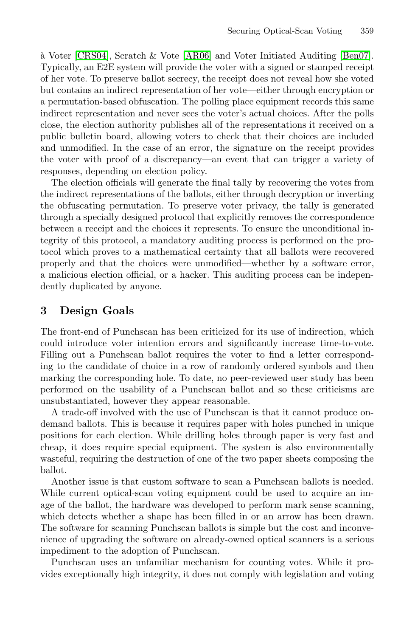`a Voter [CRS04], Scratch & Vote [AR06] and Voter Initiated Auditing [Ben07]. Typically, an E2E system will provide the voter with a signed or stamped receipt of her vote. To preserve ballot secrecy, the receipt does not reveal how she voted but contains an indirect representation of her vote—either through encryption or a permutation-based obfuscation. The polling place equipment records this same indirect representation and never sees the voter's actual choices. After the polls close, the election authority publishes all of the representations it received on a public bulletin board, allowing voters to check that their choices are included and unmodified. In the case of an error, the signature on the receipt provides the voter with proof of a discrepancy—an event that can trigger a variety of responses, depending on election policy.

The election officials will generate the final tally by recovering the votes from the indirect representations of the ballots, either through decryption or inverting the obfuscating permutation. To preserve voter privacy, the tally is generated through a specially designed protocol that explicitly removes the correspondence between a receipt and the choices it represents. To ensure the unconditional integrity of this protocol, a mandatory auditing process is performed on the protocol which proves to a mathematical certainty that all ballots were recovered properly and that the choices were unmodified—whether by a software error, a malicious election official, or a hacker. This auditing process can be independently duplicated by anyone.

## **3 Design Goals**

The front-end of Punchscan has been criticized for its use of indirection, which could introduce voter intention errors and significantly increase time-to-vote. Filling out a Punchscan ballot requires the voter to find a letter corresponding to the candidate of choice in a row of randomly ordered symbols and then marking the corresponding hole. To date, no peer-reviewed user study has been performed on the usability of a Punchscan ballot and so these criticisms are unsubstantiated, however they appear reasonable.

A trade-off involved with the use of Punchscan is that it cannot produce ondemand ballots. This is because it requires paper with holes punched in unique positions for each election. While drilling holes through paper is very fast and cheap, it does require special equipment. The system is also environmentally wasteful, requiring the destruction of one of the two paper sheets composing the ballot.

Another issue is that custom software to scan a Punchscan ballots is needed. While current optical-scan voting equipment could be used to acquire an image of the ballot, the hardware was developed to perform mark sense scanning, which detects whether a shape has been filled in or an arrow has been drawn. The software for scanning Punchscan ballots is simple but the cost and inconvenience of upgrading the software on already-owned optical scanners is a serious impediment to the adoption of Punchscan.

Punchscan uses an unfamiliar mechanism for counting votes. While it provides exceptionally high integrity, it does not comply with legislation and voting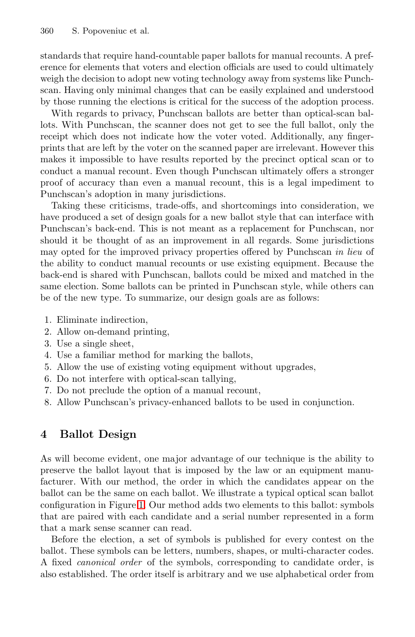standards that require hand-countable paper ballots for manual recounts. A preference for elements that voters and election officials are used to could ultimately weigh the decision to adopt new voting technology away from systems like Punchscan. Having only minimal changes that can be easily explained and understood by those running the elections is critical for the success of the adoption process.

With regards to privacy, Punchscan ballots are better than optical-scan ballots. With Punchscan, the scanner does not get to see the full ballot, only the receipt which does not indicate how the voter voted. Additionally, any fingerprints that are left by the voter on the scanned paper are irrelevant. However this makes it impossible to have results reported by the precinct optical scan or to conduct a manual recount. Even though Punchscan ultimately offers a stronger proof of accuracy than even a manual recount, this is a legal impediment to Punchscan's adoption in many jurisdictions.

Taking these criticisms, trade-offs, and shortcomings into consideration, we have produced a set of design goals for a new ballot style that can interface with Punchscan's back-end. This is not meant as a replacement for Punchscan, nor should it be thought of as an improvement in all regards. Some jurisdictions may opted for the improved privacy properties offered by Punchscan *in lieu* of the ability to conduct manual recounts or use existing equipment. Because the back-end is shared with Punchscan, ballots could be mixed and matched in the same election. Some ballots can be printed in Punchscan style, while others can be of the new type. To summarize, our design goals are as follows:

- 1. Eliminate indirection,
- 2. Allow on-demand printing,
- 3. Use a single sheet,
- 4. Use a familiar method for marking the ballots,
- 5. Allow the use of existing voting equipment without upgrades,
- 6. Do not interfere with optical-scan tallying,
- 7. Do not preclude the option of a manual recount,
- 8. Allow Punchscan's privacy-enhanced ballots to be used in conjunction.

### **4 Ballot Design**

As will become evident, one major advantage of our technique is the ability to preserve the ballot layout that is imposed by the law or an equipment manufacturer. With our method, the order in which the candidates appear on the ballot can be the same on each ballot. We illustrate a typical optical scan ballot configuration in Figure 1. Our method adds two elements to this ballot: symbols that are paired with each candidate and a serial number represented in a form that a mark sense scanner can read.

Before the election, a set of symbols is published for every contest on the ballot. These symbols can be letters, numbers, shapes, or multi-character codes. A fixed *canonical order* of the symbols, corresponding to candidate order, is also established. The order itself is arbitrary and we use alphabetical order from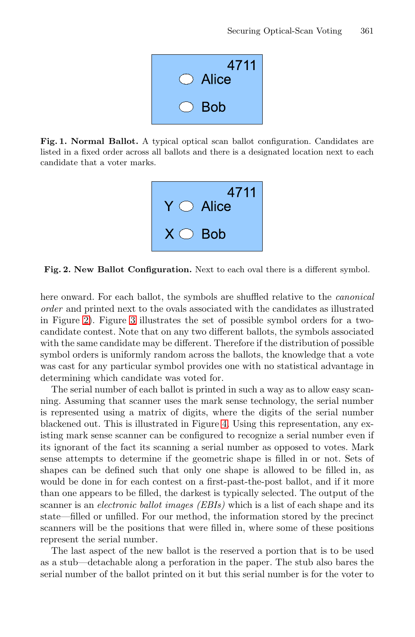

**Fig. 1. Normal Ballot.** A typical optical scan ballot configuration. Candidates are listed in a fixed order across all ballots and there is a designated location next to each candidate that a voter marks.



**Fig. 2. New Ballot Configuration.** Next to each oval there is a different symbol.

here onward. For each ballot, the symbols are shuffled relative to the *canonical order* and printed next to the ovals associated with the candidates as illustrated in Figure 2). Figure 3 illustrates the set of possible symbol orders for a twocandidate contest. Note [th](#page-5-0)at on any two different ballots, the symbols associated with the same candidate may be different. Therefore if the distribution of possible symbol orders is uniformly random across the ballots, the knowledge that a vote was cast for any particular symbol provides one with no statistical advantage in determining which candidate was voted for.

The serial number of each ballot is printed in such a way as to allow easy scanning. Assuming that scanner uses the mark sense technology, the serial number is represented using a matrix of digits, where the digits of the serial number blackened out. This is illustrated in Figure 4. Using this representation, any existing mark sense scanner can be configured to recognize a serial number even if its ignorant of the fact its scanning a serial number as opposed to votes. Mark sense attempts to determine if the geometric shape is filled in or not. Sets of shapes can be defined such that only one shape is allowed to be filled in, as would be done in for each contest on a first-past-the-post ballot, and if it more than one appears to be filled, the darkest is typically selected. The output of the scanner is an *electronic ballot images (EBIs)* which is a list of each shape and its state—filled or unfilled. For our method, the information stored by the precinct scanners will be the positions that were filled in, where some of these positions represent the serial number.

The last aspect of the new ballot is the reserved a portion that is to be used as a stub—detachable along a perforation in the paper. The stub also bares the serial number of the ballot printed on it but this serial number is for the voter to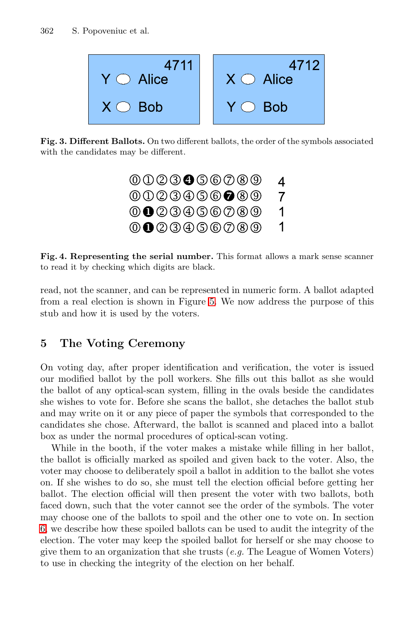

<span id="page-5-0"></span>**Fig. 3. Different Ballots.** On two different ballots, the order of the symbols associated with the candidates may be different.

| 0023 <b>4</b> 56089                                                                       | 4  |
|-------------------------------------------------------------------------------------------|----|
| 0000006000                                                                                | 7  |
| ${\bf 0}$ ${\bf 0}$ ${\bf 0}$ ${\bf 0}$ ${\bf 0}$ ${\bf 0}$ ${\bf 0}$ ${\bf 0}$ ${\bf 0}$ | 1. |
| $\mathbf{0} \mathbf{0} \mathbf{0}$ 3956789                                                | 1. |

**Fig. 4. Representing the serial number.** This format allows a mark sense scanner to read it by checking which digits are black.

read, not the scanner, and can be represented in numeric form. A ballot adapted from a real election is shown in Figure 5. We now address the purpose of this stub and how it is used by the voters.

# **5 The Voting Ceremony**

On voting day, after proper identification and verification, the voter is issued our modified ballot by the poll workers. She fills out this ballot as she would the ballot of any optical-scan system, filling in the ovals beside the candidates she wishes to vote for. Before she scans the ballot, she detaches the ballot stub and may write on it or any piece of paper the symbols that corresponded to the candidates she chose. Afterward, the ballot is scanned and placed into a ballot box as under the normal procedures of optical-scan voting.

While in the booth, if the voter makes a mistake while filling in her ballot, the ballot is officially marked as spoiled and given back to the voter. Also, the voter may choose to deliberately spoil a ballot in addition to the ballot she votes on. If she wishes to do so, she must tell the election official before getting her ballot. The election official will then present the voter with two ballots, both faced down, such that the voter cannot see the order of the symbols. The voter may choose one of the ballots to spoil and the other one to vote on. In section 6, we describe how these spoiled ballots can be used to audit the integrity of the election. The voter may keep the spoiled ballot for herself or she may choose to give them to an organization that she trusts (*e.g.* The League of Women Voters) to use in checking the integrity of the election on her behalf.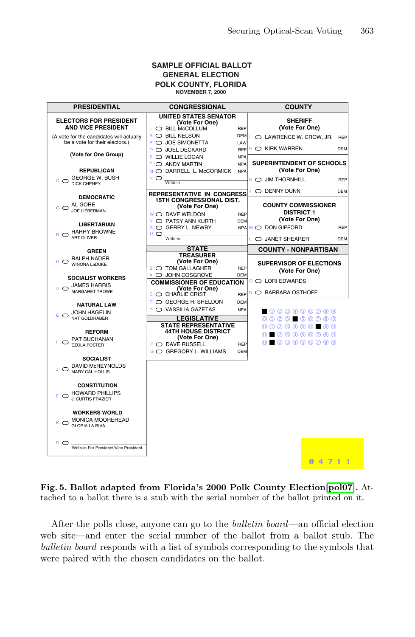#### **SAMPLE OFFICIAL BALLOT GENERAL ELECTION POLK COUNTY, FLORIDA NOVEMBER 7, 2000**

| <b>PRESIDENTIAL</b>                                                                 | <b>CONGRESSIONAL</b>                                                                                                                                                         | <b>COUNTY</b>                                                                          |
|-------------------------------------------------------------------------------------|------------------------------------------------------------------------------------------------------------------------------------------------------------------------------|----------------------------------------------------------------------------------------|
| <b>ELECTORS FOR PRESIDENT</b><br><b>AND VICE PRESIDENT</b>                          | <b>UNITED STATES SENATOR</b><br>(Vote For One)<br>$L \n\bigcirc$ BILL McCOLLUM<br><b>REP</b>                                                                                 | <b>SHERIFF</b><br>(Vote For One)                                                       |
| (A vote for the candidates will actually<br>be a vote for their electors.)          | $R \nabla BILL NELSON$<br><b>DEM</b><br>$P \nO$ JOE SIMONETTA<br>I AW                                                                                                        | O LAWRENCE W. CROW, JR.<br><b>REP</b>                                                  |
| (Vote for One Group)                                                                | $0$ $\bigcirc$ JOEL DECKARD<br><b>RFF</b><br>$S \n\bigcirc$ WILLIE LOGAN<br><b>NPA</b><br>$T$ $\bigcirc$ ANDY MARTIN<br><b>NPA</b>                                           | $H \nabla$ KIRK WARREN<br><b>DEM</b><br>SUPERINTENDENT OF SCHOOLS                      |
| <b>REPUBLICAN</b><br><b>GEORGE W. BUSH</b><br>$\circ$ $\circ$<br><b>DICK CHENEY</b> | $M \n\bigcirc$ DARRELL L. McCORMICK<br><b>NPA</b><br>$N$ $\bigcirc$<br>Write-in                                                                                              | (Vote For One)<br>$K \nabla$ JIM THORNHILL<br><b>RFP</b>                               |
| <b>DEMOCRATIC</b>                                                                   | <b>REPRESENTATIVE IN CONGRESS</b><br><b>15TH CONGRESSIONAL DIST.</b>                                                                                                         | O DENNY DUNN<br><b>DFM</b>                                                             |
| AL GORE<br>G<br><b>JOE LIEBERMAN</b>                                                | (Vote For One)<br>$W \nO$ DAVE WELDON<br><b>REP</b><br>O PATSY ANN KURTH<br>v<br><b>DEM</b>                                                                                  | <b>COUNTY COMMISSIONER</b><br><b>DISTRICT 1</b><br>(Vote For One)                      |
| <b>LIBERTARIAN</b><br><b>HARRY BROWNE</b><br>B O<br><b>ART OLIVER</b>               | $X \n\bigcirc$ GERRY L. NEWBY<br><b>NPA</b><br>$\cup$ $\bigcirc$<br>Write-in                                                                                                 | $M \n\bigcirc$ DON GIFFORD<br><b>REP</b><br>$L$ $\bigcirc$ JANET SHEARER<br><b>DEM</b> |
|                                                                                     | <b>STATE</b>                                                                                                                                                                 | <b>COUNTY - NONPARTISAN</b>                                                            |
| <b>GREEN</b><br><b>RALPH NADER</b><br>НΟ<br><b>WINONA LaDUKE</b>                    | <b>TREASURER</b><br>(Vote For One)<br>$B$ $\bigcirc$ TOM GALLAGHER<br><b>REP</b>                                                                                             | <b>SUPERVISOR OF ELECTIONS</b><br>(Vote For One)                                       |
| <b>SOCIALIST WORKERS</b><br><b>JAMES HARRIS</b><br>A O<br><b>MARGARET TROWE</b>     | A $\bigcirc$ JOHN COSGROVE<br><b>DEM</b><br><b>COMMISSIONER OF EDUCATION</b><br>(Vote For One)<br>$E \nabla$ charlie crist<br><b>REP</b>                                     | $\circ$ $\circ$ LORI EDWARDS<br>N C BARBARA OSTHOFF                                    |
| <b>NATURAL LAW</b><br><b>JOHN HAGELIN</b><br>ר ⊧<br>NAT GOLDHABER                   | $\circ$ $\circ$ George H. Sheldon<br><b>DEM</b><br>$D$ $\bigcirc$ vassilia gazetas<br><b>NPA</b><br><b>LEGISLATIVE</b>                                                       | 00000000000<br>00000 60009                                                             |
| <b>REFORM</b><br>PAT BUCHANAN<br>$\circ$<br><b>EZOLA FOSTER</b>                     | <b>STATE REPRESENTATIVE</b><br><b>44TH HOUSE DISTRICT</b><br>(Vote For One)<br>$F$ $\bigcirc$ DAVE RUSSELL<br><b>REP</b><br>$G \n\bigcirc$ GREGORY L. WILLIAMS<br><b>DEM</b> | 000000000000<br>1299956789<br>0 0 2 3 4 5 6 7 8 9                                      |
| <b>SOCIALIST</b><br>DAVID McREYNOLDS<br>$\cup$<br><b>MARY CAL HOLLIS</b>            |                                                                                                                                                                              |                                                                                        |
| <b>CONSTITUTION</b><br><b>HOWARD PHILLIPS</b><br>⊧ ຕ<br>J. CURTIS FRAZIER           |                                                                                                                                                                              |                                                                                        |
| <b>WORKERS WORLD</b><br>MONICA MOOREHEAD<br>КΟ<br><b>GLORIA LA RIVA</b>             |                                                                                                                                                                              |                                                                                        |
| $D$ $\bigcirc$<br>Write-in For President/Vice President                             |                                                                                                                                                                              |                                                                                        |
|                                                                                     |                                                                                                                                                                              | 1<br>ø<br>4<br>-7 -                                                                    |

**Fig. 5. Ballot adapted from Florida's 2000 Polk County Election[pol07].** Attached to a ballot there is a stub with the serial number of the ballot printed on it.

After the polls close, anyone can go to the *bulletin board*—an official election web site—and enter the serial number of the ballot from a ballot stub. The *bulletin board* responds with a list of symbols corresponding to the symbols that were paired with the chosen candidates on the ballot.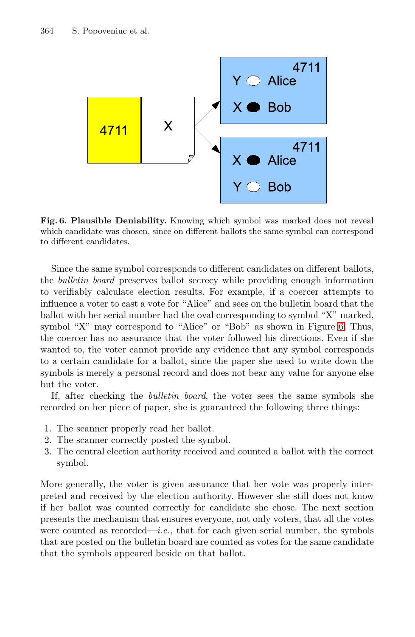

<span id="page-7-0"></span>**Fig. 6. Plausible Deniability.** Knowing which symbol was marked does not reveal which candidate was chosen, since on different ballots th[e s](#page-7-0)ame symbol can correspond to different candidates.

Since the same symbol corresponds to different candidates on different ballots, the *bulletin board* preserves ballot secrecy while providing enough information to verifiably calculate election results. For example, if a coercer attempts to influence a voter to cast a vote for "Alice" and sees on the bulletin board that the ballot with her serial number had the oval corresponding to symbol "X" marked, symbol "X" may correspond to "Alice" or "Bob" as shown in Figure 6. Thus, the coercer has no assurance that the voter followed his directions. Even if she wanted to, the voter cannot provide any evidence that any symbol corresponds to a certain candidate for a ballot, since the paper she used to write down the symbols is merely a personal record and does not bear any value for anyone else but the voter.

If, after checking the *bulletin board*, the voter sees the same symbols she recorded on her piece of paper, she is guaranteed the following three things:

- 1. The scanner properly read her ballot.
- 2. The scanner correctly posted the symbol.
- 3. The central election authority received and counted a ballot with the correct symbol.

More generally, the voter is given assurance that her vote was properly interpreted and received by the election authority. However she still does not know if her ballot was counted correctly for candidate she chose. The next section presents the mechanism that ensures everyone, not only voters, that all the votes were counted as recorded—*i.e.,* that for each given serial number, the symbols that are posted on the bulletin board are counted as votes for the same candidate that the symbols appeared beside on that ballot.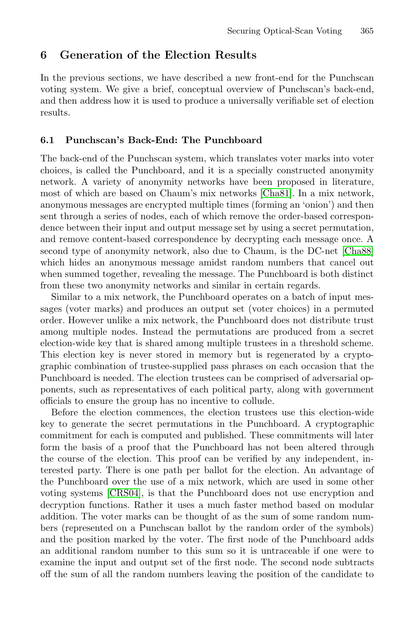### **6 Generation of the Election Results**

In the previous sections, we have described a new front-end for the Punchscan voting system. We give a brief, conceptual overview of Punchscan's back-end, and then address how it is used to [produc](#page-12-9)e a universally verifiable set of election results.

#### **6.1 Punchscan's Back-End: The Punchboard**

The back-end of the Punchscan system, which transl[ates vot](#page-12-10)er marks into voter choices, is called the Punchboard, and it is a specially constructed anonymity network. A variety of anonymity networks have been proposed in literature, most of which are based on Chaum's mix networks [Cha81]. In a mix network, anonymous messages are encrypted multiple times (forming an 'onion') and then sent through a series of nodes, each of which remove the order-based correspondence between their input and output message set by using a secret permutation, and remove content-based correspondence by decrypting each message once. A second type of anonymity network, also due to Chaum, is the DC-net [Cha88] which hides an anonymous message amidst random numbers that cancel out when summed together, revealing the message. The Punchboard is both distinct from these two anonymity networks and similar in certain regards.

Similar to a mix network, the Punchboard operates on a batch of input messages (voter marks) and produces an output set (voter choices) in a permuted order. However unlike a mix network, the Punchboard does not distribute trust among multiple nodes. Instead the permutations are produced from a secret election-wide key that is shared among multiple trustees in a threshold scheme. This election key is never stored in memory but is regenerated by a cryptographic combination of trustee-supplied pass phrases on each occasion that the Punchboard is needed. The election trustees can be comprised of adversarial opponents, such as representatives of each political party, along with government [officia](#page-12-11)ls to ensure the group has no incentive to collude.

Before the election commences, the election trustees use this election-wide key to generate the secret permutations in the Punchboard. A cryptographic commitment for each is computed and published. These commitments will later form the basis of a proof that the Punchboard has not been altered through the course of the election. This proof can be verified by any independent, interested party. There is one path per ballot for the election. An advantage of the Punchboard over the use of a mix network, which are used in some other voting systems [CRS04], is that the Punchboard does not use encryption and decryption functions. Rather it uses a much faster method based on modular addition. The voter marks can be thought of as the sum of some random numbers (represented on a Punchscan ballot by the random order of the symbols) and the position marked by the voter. The first node of the Punchboard adds an additional random number to this sum so it is untraceable if one were to examine the input and output set of the first node. The second node subtracts off the sum of all the random numbers leaving the position of the candidate to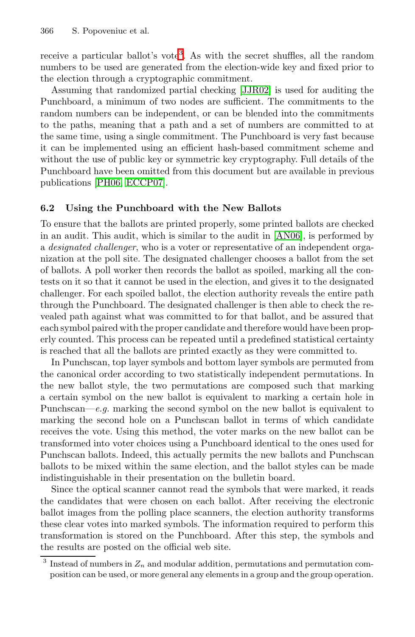receive a particular ballot's vote<sup>3</sup>. As with the secret shuffles, all the random numbers to be used are generated from the election-wide key and fixed prior to the election through a cryptographic commitment.

[Assumin](#page-12-8)g that randomized partial checking [JJR02] is used for auditing the [P](#page-12-5)unchboard, a minimum of two nodes are sufficient. The commitments to the random numbers can be independent, or can be blended into the commitments to the paths, meaning that a path and a set of numbers are committed to at the same time, using a single commitment. The Punchboard is very fast because it can be implemented using an effi[cient h](#page-12-12)ash-based commitment scheme and without the use of public key or symmetric key cryptography. Full details of the Punchboard have been omitted from this document but are available in previous publications [PH06, ECCP07].

#### **6.2 Using the Punchboard with the New Ballots**

To ensure that the ballots are printed properly, some printed ballots are checked in an audit. This audit, which is similar to the audit in [AN06], is performed by a *designated challenger*, who is a voter or representative of an independent organization at the poll site. The designated challenger chooses a ballot from the set of ballots. A poll worker then records the ballot as spoiled, marking all the contests on it so that it cannot be used in the election, and gives it to the designated challenger. For each spoiled ballot, the election authority reveals the entire path through the Punchboard. The designated challenger is then able to check the revealed path against what was committed to for that ballot, and be assured that each symbol paired with the proper candidate and therefore would have been properly counted. This process can be repeated until a predefined statistical certainty is reached that all the ballots are printed exactly as they were committed to.

In Punchscan, top layer symbols and bottom layer symbols are permuted from the canonical order according to two statistically independent permutations. In the new ballot style, the two permutations are composed such that marking a certain symbol on the new ballot is equivalent to marking a certain hole in Punchscan—*e.g.* marking the second symbol on the new ballot is equivalent to marking the second hole on a Punchscan ballot in terms of which candidate receives the vote. Using this method, the voter marks on the new ballot can be transformed into voter choices using a Punchboard identical to the ones used for Punchscan ballots. Indeed, this actually permits the new ballots and Punchscan ballots to be mixed within the same election, and the ballot styles can be made indistinguishable in their presentation on the bulletin board.

Since the optical scanner cannot read the symbols that were marked, it reads the candidates that were chosen on each ballot. After receiving the electronic ballot images from the polling place scanners, the election authority transforms these clear votes into marked symbols. The information required to perform this transformation is stored on the Punchboard. After this step, the symbols and the results are posted on the official web site.

Instead of numbers in  $Z_n$  and modular addition, permutations and permutation composition can be used, or more general any elements in a group and the group operation.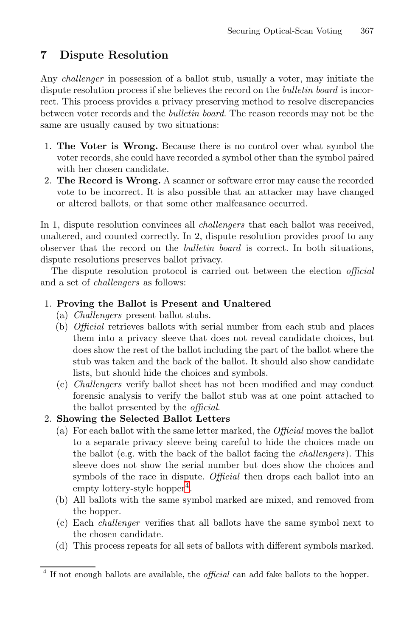### **7 Dispute Resolution**

Any *challenger* in possession of a ballot stub, usually a voter, may initiate the dispute resolution process if she believes the record on the *bulletin board* is incorrect. This process provides a privacy preserving method to resolve discrepancies between voter records and the *bulletin board*. The reason records may not be the same are usually caused by two situations:

- 1. **The Voter is Wrong.** Because there is no control over what symbol the voter records, she could have recorded a symbol other than the symbol paired with her chosen candidate.
- 2. **The Record is Wrong.** A scanner or software error may cause the recorded vote to be incorrect. It is also possible that an attacker may have changed or altered ballots, or that some other malfeasance occurred.

In 1, dispute resolution convinces all *challengers* that each ballot was received, unaltered, and counted correctly. In 2, dispute resolution provides proof to any observer that the record on the *bulletin board* is correct. In both situations, dispute resolutions preserves ballot privacy.

The dispute resolution protocol is carried out between the election *official* and a set of *challengers* as follows:

#### 1. **Proving the Ballot is Present and Unaltered**

- (a) *Challengers* present ballot stubs.
- (b) *Official* retrieves ballots with serial number from each stub and places them into a privacy sleeve that does not reveal candidate choices, but does show the rest of the ballot including the part of the ballot where the stub was taken and the back of the ballot. It should also show candidate lists, but should hide the choices and symbols.
- (c) *Challengers* verify ballot sheet has not been modified and may conduct forensi[c a](#page-10-0)nalysis to verify the ballot stub was at one point attached to the ballot presented by the *official*.

#### 2. **Showing the Selected Ballot Letters**

- (a) For each ballot with the same letter marked, the *Official* moves the ballot to a separate privacy sleeve being careful to hide the choices made on the ballot (e.g. with the back of the ballot facing the *challengers*). This sleeve does not show the serial number but does show the choices and symbols of the race in dispute. *Official* then drops each ballot into an empty lottery-style hopper<sup>4</sup>.
- <span id="page-10-0"></span>(b) All ballots with the same symbol marked are mixed, and removed from the hopper.
- (c) Each *challenger* verifies that all ballots have the same symbol next to the chosen candidate.
- (d) This process repeats for all sets of ballots with different symbols marked.

 $4$  If not enough ballots are available, the *official* can add fake ballots to the hopper.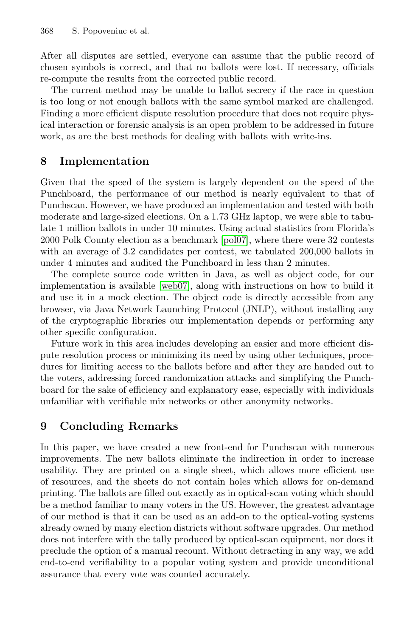After all disputes are settled, everyone can assume that the public record of chosen symbols is correct, and that no ballots were lost. If necessary, officials re-compute the results from the corrected public record.

The current method may be unable to ballot secrecy if the race in question is too long or not enough ballots with the same symbol marked are challenged. Finding a more efficient dispute resolution procedure that does not require physical interaction or forensic analysis is an open problem to be addressed in future work, as are the best methods for dealing with ballots with write-ins.

### **8 Implementatio[n](#page-12-13)**

Given that the speed of the system is largely dependent on the speed of the Punchbo[ard, the](#page-12-14) performance of our method is nearly equivalent to that of Punchscan. However, we have produced an implementation and tested with both moderate and large-sized elections. On a 1.73 GHz laptop, we were able to tabulate 1 million ballots in under 10 minutes. Using actual statistics from Florida's 2000 Polk County election as a benchmark [pol07], where there were 32 contests with an average of 3.2 candidates per contest, we tabulated 200,000 ballots in under 4 minutes and audited the Punchboard in less than 2 minutes.

The complete source code written in Java, as well as object code, for our implementation is available [web07], along with instructions on how to build it and use it in a mock election. The object code is directly accessible from any browser, via Java Network Launching Protocol (JNLP), without installing any of the cryptographic libraries our implementation depends or performing any other specific configuration.

Future work in this area includes developing an easier and more efficient dispute resolution process or minimizing its need by using other techniques, procedures for limiting access to the ballots before and after they are handed out to the voters, addressing forced randomization attacks and simplifying the Punchboard for the sake of efficiency and explanatory ease, especially with individuals unfamiliar with verifiable mix networks or other anonymity networks.

### **9 Concluding Remarks**

In this paper, we have created a new front-end for Punchscan with numerous improvements. The new ballots eliminate the indirection in order to increase usability. They are printed on a single sheet, which allows more efficient use of resources, and the sheets do not contain holes which allows for on-demand printing. The ballots are filled out exactly as in optical-scan voting which should be a method familiar to many voters in the US. However, the greatest advantage of our method is that it can be used as an add-on to the optical-voting systems already owned by many election districts without software upgrades. Our method does not interfere with the tally produced by optical-scan equipment, nor does it preclude the option of a manual recount. Without detracting in any way, we add end-to-end verifiability to a popular voting system and provide unconditional assurance that every vote was counted accurately.